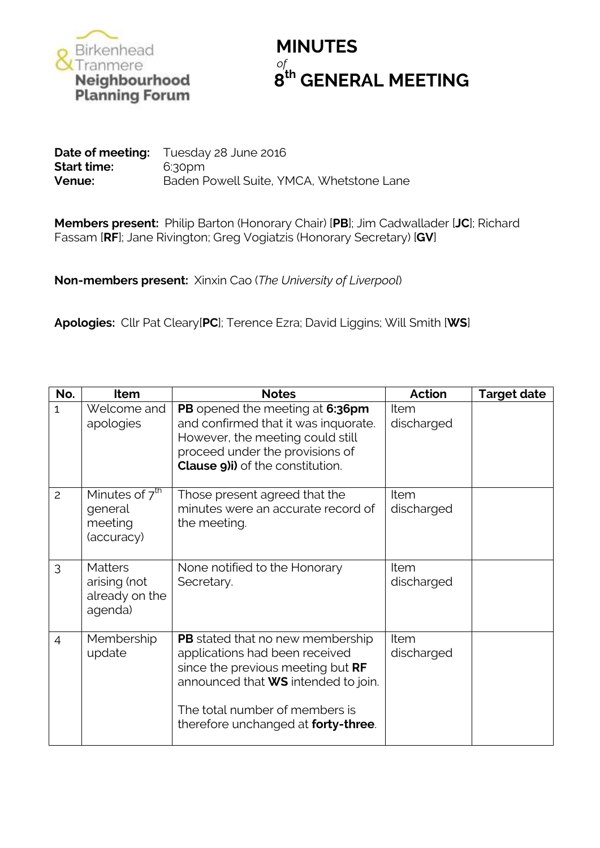

## **MINUTES** *of* **th GENERAL MEETING**

**Date of meeting:** Tuesday 28 June 2016 **Start time:** 6:30pm **Venue:** Baden Powell Suite, YMCA, Whetstone Lane

**Members present:** Philip Barton (Honorary Chair) [**PB**]; Jim Cadwallader [**JC**]; Richard Fassam [**RF**]; Jane Rivington; Greg Vogiatzis (Honorary Secretary) [**GV**]

**Non-members present:** Xinxin Cao (*The University of Liverpool*)

**Apologies:** Cllr Pat Cleary[**PC**]; Terence Ezra; David Liggins; Will Smith [**WS**]

| No.            | <b>Item</b>                                                    | <b>Notes</b>                                                                                                                                                                                                                           | Action             | <b>Target date</b> |
|----------------|----------------------------------------------------------------|----------------------------------------------------------------------------------------------------------------------------------------------------------------------------------------------------------------------------------------|--------------------|--------------------|
| $\mathbf{1}$   | Welcome and<br>apologies                                       | PB opened the meeting at 6:36pm<br>and confirmed that it was inquorate.<br>However, the meeting could still<br>proceed under the provisions of<br><b>Clause 9)i)</b> of the constitution.                                              | Item<br>discharged |                    |
| 2              | Minutes of 7 <sup>th</sup><br>general<br>meeting<br>(accuracy) | Those present agreed that the<br>minutes were an accurate record of<br>the meeting.                                                                                                                                                    | Item<br>discharged |                    |
| 3              | <b>Matters</b><br>arising (not<br>already on the<br>agenda)    | None notified to the Honorary<br>Secretary.                                                                                                                                                                                            | Item<br>discharged |                    |
| $\overline{4}$ | Membership<br>update                                           | <b>PB</b> stated that no new membership<br>applications had been received<br>since the previous meeting but RF<br>announced that WS intended to join.<br>The total number of members is<br>therefore unchanged at <b>forty-three</b> . | Item<br>discharged |                    |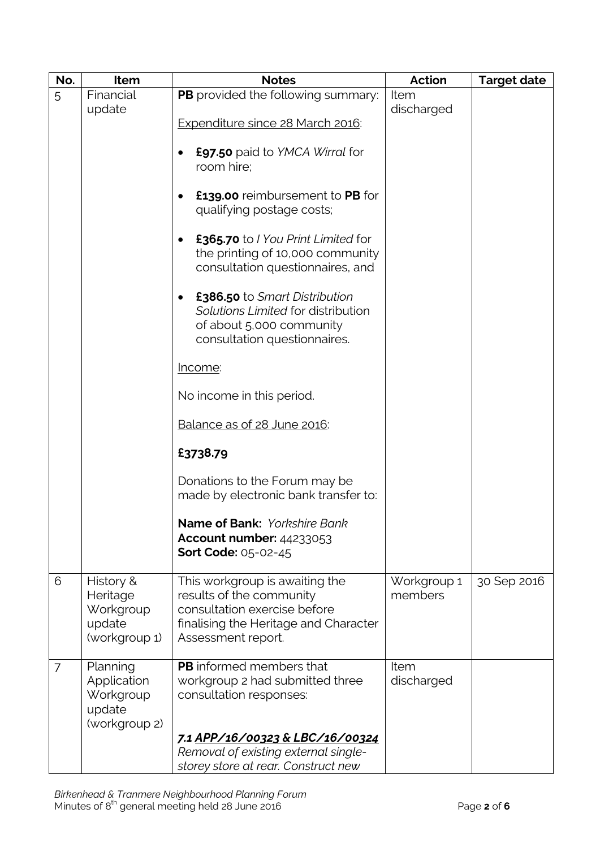| No.            | Item                  | <b>Notes</b>                                               | Action                 | <b>Target date</b> |
|----------------|-----------------------|------------------------------------------------------------|------------------------|--------------------|
| 5              | Financial             | <b>PB</b> provided the following summary:                  | Item                   |                    |
|                | update                |                                                            | discharged             |                    |
|                |                       | Expenditure since 28 March 2016:                           |                        |                    |
|                |                       | £97.50 paid to YMCA Wirral for<br>$\bullet$                |                        |                    |
|                |                       | room hire;                                                 |                        |                    |
|                |                       |                                                            |                        |                    |
|                |                       | £139.00 reimbursement to PB for<br>$\bullet$               |                        |                    |
|                |                       | qualifying postage costs;                                  |                        |                    |
|                |                       | £365.70 to I You Print Limited for                         |                        |                    |
|                |                       | the printing of 10,000 community                           |                        |                    |
|                |                       | consultation questionnaires, and                           |                        |                    |
|                |                       | £386.50 to Smart Distribution                              |                        |                    |
|                |                       | Solutions Limited for distribution                         |                        |                    |
|                |                       | of about 5,000 community                                   |                        |                    |
|                |                       | consultation questionnaires.                               |                        |                    |
|                |                       |                                                            |                        |                    |
|                |                       | Income:                                                    |                        |                    |
|                |                       | No income in this period.                                  |                        |                    |
|                |                       |                                                            |                        |                    |
|                |                       | Balance as of 28 June 2016:                                |                        |                    |
|                |                       | £3738.79                                                   |                        |                    |
|                |                       | Donations to the Forum may be                              |                        |                    |
|                |                       | made by electronic bank transfer to:                       |                        |                    |
|                |                       | Name of Bank: Yorkshire Bank                               |                        |                    |
|                |                       | <b>Account number: 44233053</b>                            |                        |                    |
|                |                       | Sort Code: 05-02-45                                        |                        |                    |
|                |                       |                                                            |                        |                    |
| 6              | History &<br>Heritage | This workgroup is awaiting the<br>results of the community | Workgroup 1<br>members | 30 Sep 2016        |
|                | Workgroup             | consultation exercise before                               |                        |                    |
|                | update                | finalising the Heritage and Character                      |                        |                    |
|                | (workgroup 1)         | Assessment report.                                         |                        |                    |
| $\overline{7}$ | Planning              | <b>PB</b> informed members that                            | Item                   |                    |
|                | Application           | workgroup 2 had submitted three                            | discharged             |                    |
|                | Workgroup             | consultation responses:                                    |                        |                    |
|                | update                |                                                            |                        |                    |
|                | (workgroup 2)         | <u>7.1 APP/16/00323 &amp; LBC/16/00324</u>                 |                        |                    |
|                |                       | Removal of existing external single-                       |                        |                    |
|                |                       | storey store at rear. Construct new                        |                        |                    |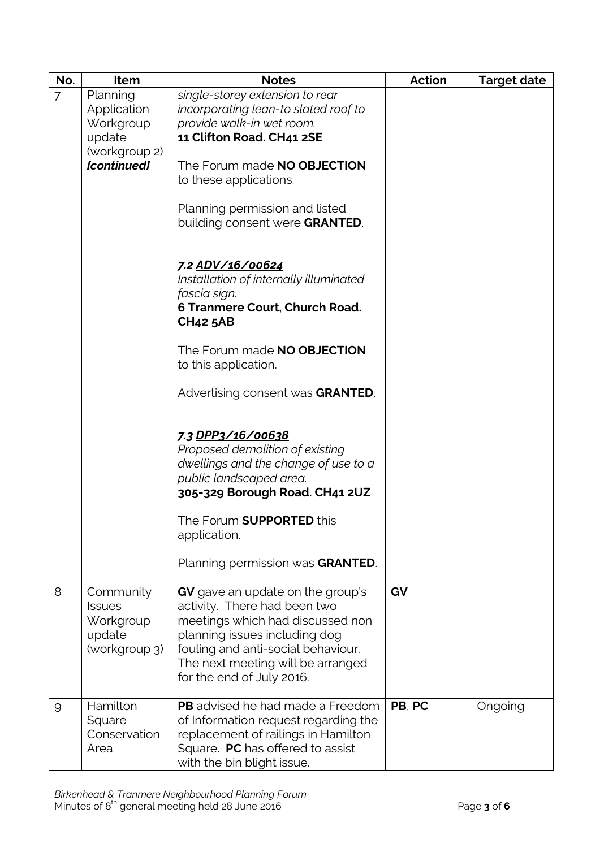| No. | Item                                                                           | <b>Notes</b>                                                                                                                                                                                                                                                                                                                                                                                                                                                                                                                                                                                                                                                                                                                                     | <b>Action</b> | <b>Target date</b> |
|-----|--------------------------------------------------------------------------------|--------------------------------------------------------------------------------------------------------------------------------------------------------------------------------------------------------------------------------------------------------------------------------------------------------------------------------------------------------------------------------------------------------------------------------------------------------------------------------------------------------------------------------------------------------------------------------------------------------------------------------------------------------------------------------------------------------------------------------------------------|---------------|--------------------|
| 7   | Planning<br>Application<br>Workgroup<br>update<br>(workgroup 2)<br>[continued] | single-storey extension to rear<br>incorporating lean-to slated roof to<br>provide walk-in wet room.<br>11 Clifton Road. CH41 2SE<br>The Forum made NO OBJECTION<br>to these applications.<br>Planning permission and listed<br>building consent were GRANTED.<br>7.2 ADV/16/00624<br>Installation of internally illuminated<br>fascia sign.<br>6 Tranmere Court, Church Road.<br><b>CH42 5AB</b><br>The Forum made NO OBJECTION<br>to this application.<br>Advertising consent was GRANTED.<br>7.3 DPP3/16/00638<br>Proposed demolition of existing<br>dwellings and the change of use to a<br>public landscaped area.<br>305-329 Borough Road. CH41 2UZ<br>The Forum <b>SUPPORTED</b> this<br>application.<br>Planning permission was GRANTED. |               |                    |
| 8   | Community<br><b>Issues</b><br>Workgroup<br>update<br>(workgroup 3)             | GV gave an update on the group's<br>activity. There had been two<br>meetings which had discussed non<br>planning issues including dog<br>fouling and anti-social behaviour.<br>The next meeting will be arranged<br>for the end of July 2016.                                                                                                                                                                                                                                                                                                                                                                                                                                                                                                    | GV            |                    |
| 9   | Hamilton<br>Square<br>Conservation<br>Area                                     | <b>PB</b> advised he had made a Freedom<br>of Information request regarding the<br>replacement of railings in Hamilton<br>Square. PC has offered to assist<br>with the bin blight issue.                                                                                                                                                                                                                                                                                                                                                                                                                                                                                                                                                         | PB, PC        | Ongoing            |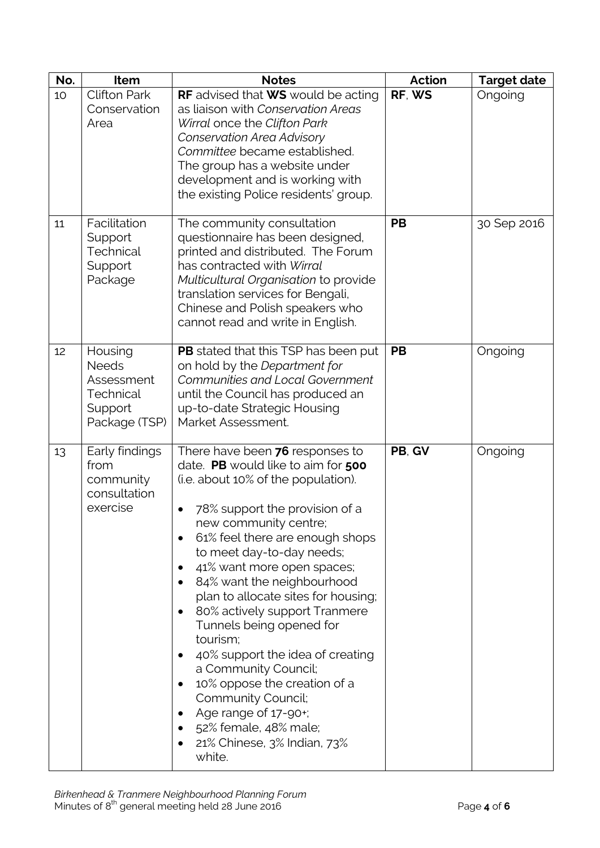| No. | Item                                                                                  | <b>Notes</b>                                                                                                                                                                                                                                                                                                                                                                                                                                                                                                                                                                                                                                                                                                 | <b>Action</b> | <b>Target date</b> |
|-----|---------------------------------------------------------------------------------------|--------------------------------------------------------------------------------------------------------------------------------------------------------------------------------------------------------------------------------------------------------------------------------------------------------------------------------------------------------------------------------------------------------------------------------------------------------------------------------------------------------------------------------------------------------------------------------------------------------------------------------------------------------------------------------------------------------------|---------------|--------------------|
| 10  | <b>Clifton Park</b><br>Conservation<br>Area                                           | <b>RF</b> advised that <b>WS</b> would be acting<br>as liaison with Conservation Areas<br>Wirral once the Clifton Park<br><b>Conservation Area Advisory</b><br>Committee became established.<br>The group has a website under<br>development and is working with<br>the existing Police residents' group.                                                                                                                                                                                                                                                                                                                                                                                                    | RF, WS        | Ongoing            |
| 11  | Facilitation<br>Support<br>Technical<br>Support<br>Package                            | The community consultation<br>questionnaire has been designed,<br>printed and distributed. The Forum<br>has contracted with Wirral<br>Multicultural Organisation to provide<br>translation services for Bengali,<br>Chinese and Polish speakers who<br>cannot read and write in English.                                                                                                                                                                                                                                                                                                                                                                                                                     | <b>PB</b>     | 30 Sep 2016        |
| 12  | Housing<br><b>Needs</b><br>Assessment<br><b>Technical</b><br>Support<br>Package (TSP) | PB stated that this TSP has been put<br>on hold by the Department for<br><b>Communities and Local Government</b><br>until the Council has produced an<br>up-to-date Strategic Housing<br>Market Assessment.                                                                                                                                                                                                                                                                                                                                                                                                                                                                                                  | <b>PB</b>     | Ongoing            |
| 13  | Early findings<br>from<br>community<br>consultation<br>exercise                       | There have been <b>76</b> responses to<br>date. PB would like to aim for 500<br>(i.e. about 10% of the population).<br>78% support the provision of a<br>$\bullet$<br>new community centre;<br>61% feel there are enough shops<br>to meet day-to-day needs;<br>41% want more open spaces;<br>$\bullet$<br>84% want the neighbourhood<br>plan to allocate sites for housing;<br>80% actively support Tranmere<br>$\bullet$<br>Tunnels being opened for<br>tourism;<br>40% support the idea of creating<br>$\bullet$<br>a Community Council;<br>10% oppose the creation of a<br>٠<br>Community Council;<br>Age range of 17-90+;<br>$\bullet$<br>52% female, 48% male;<br>21% Chinese, 3% Indian, 73%<br>white. | PB, GV        | Ongoing            |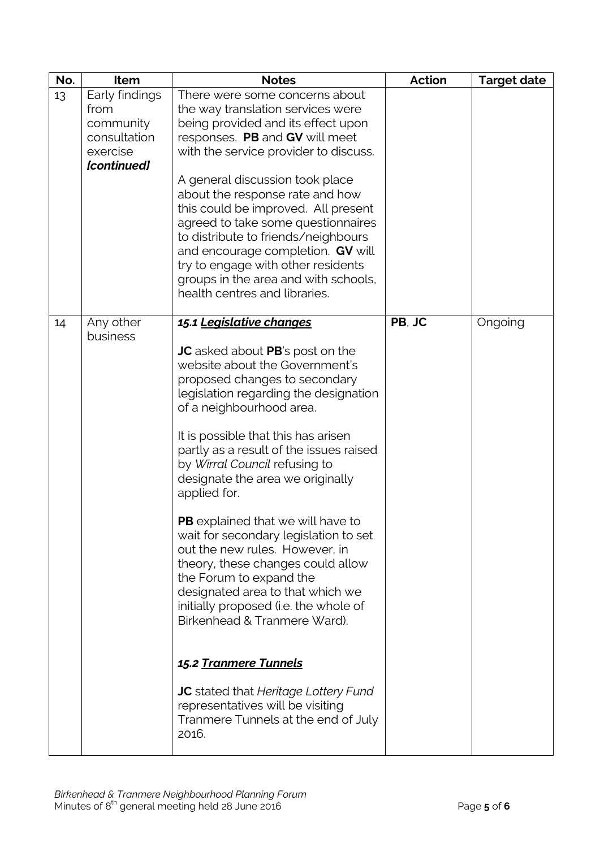| No. | Item                      | <b>Notes</b>                                                                                                                                                                                                                                                                                                                                                                                                                                                                                                                                                                                                                                                                               | <b>Action</b> | <b>Target date</b> |
|-----|---------------------------|--------------------------------------------------------------------------------------------------------------------------------------------------------------------------------------------------------------------------------------------------------------------------------------------------------------------------------------------------------------------------------------------------------------------------------------------------------------------------------------------------------------------------------------------------------------------------------------------------------------------------------------------------------------------------------------------|---------------|--------------------|
| 13  | Early findings<br>from    | There were some concerns about<br>the way translation services were                                                                                                                                                                                                                                                                                                                                                                                                                                                                                                                                                                                                                        |               |                    |
|     | community<br>consultation | being provided and its effect upon<br>responses. PB and GV will meet                                                                                                                                                                                                                                                                                                                                                                                                                                                                                                                                                                                                                       |               |                    |
|     | exercise                  | with the service provider to discuss.                                                                                                                                                                                                                                                                                                                                                                                                                                                                                                                                                                                                                                                      |               |                    |
|     | [continued]               |                                                                                                                                                                                                                                                                                                                                                                                                                                                                                                                                                                                                                                                                                            |               |                    |
|     |                           | A general discussion took place<br>about the response rate and how<br>this could be improved. All present<br>agreed to take some questionnaires<br>to distribute to friends/neighbours<br>and encourage completion. GV will<br>try to engage with other residents<br>groups in the area and with schools,<br>health centres and libraries.                                                                                                                                                                                                                                                                                                                                                 |               |                    |
| 14  | Any other                 | 15.1 Legislative changes                                                                                                                                                                                                                                                                                                                                                                                                                                                                                                                                                                                                                                                                   | PB, JC        | Ongoing            |
|     | business                  | <b>JC</b> asked about <b>PB</b> 's post on the<br>website about the Government's<br>proposed changes to secondary<br>legislation regarding the designation<br>of a neighbourhood area.<br>It is possible that this has arisen<br>partly as a result of the issues raised<br>by Wirral Council refusing to<br>designate the area we originally<br>applied for.<br>PB explained that we will have to<br>wait for secondary legislation to set<br>out the new rules. However, in<br>theory, these changes could allow<br>the Forum to expand the<br>designated area to that which we<br>initially proposed (i.e. the whole of<br>Birkenhead & Tranmere Ward).<br><b>15.2 Tranmere Tunnels</b> |               |                    |
|     |                           | <b>JC</b> stated that Heritage Lottery Fund<br>representatives will be visiting<br>Tranmere Tunnels at the end of July<br>2016.                                                                                                                                                                                                                                                                                                                                                                                                                                                                                                                                                            |               |                    |